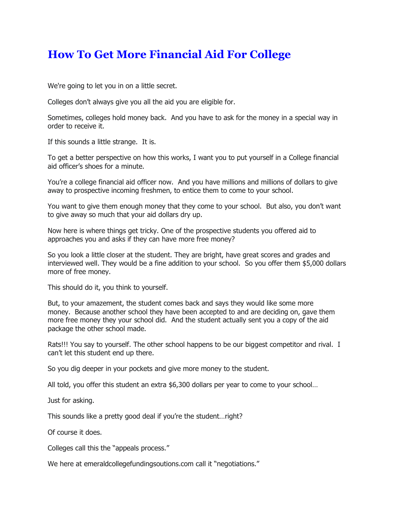## **How To Get More Financial Aid For College**

We're going to let you in on a little secret.

Colleges don't always give you all the aid you are eligible for.

Sometimes, colleges hold money back. And you have to ask for the money in a special way in order to receive it.

If this sounds a little strange. It is.

To get a better perspective on how this works, I want you to put yourself in a College financial aid officer's shoes for a minute.

You're a college financial aid officer now. And you have millions and millions of dollars to give away to prospective incoming freshmen, to entice them to come to your school.

You want to give them enough money that they come to your school. But also, you don't want to give away so much that your aid dollars dry up.

Now here is where things get tricky. One of the prospective students you offered aid to approaches you and asks if they can have more free money?

So you look a little closer at the student. They are bright, have great scores and grades and interviewed well. They would be a fine addition to your school. So you offer them \$5,000 dollars more of free money.

This should do it, you think to yourself.

But, to your amazement, the student comes back and says they would like some more money. Because another school they have been accepted to and are deciding on, gave them more free money they your school did. And the student actually sent you a copy of the aid package the other school made.

Rats!!! You say to yourself. The other school happens to be our biggest competitor and rival. I can't let this student end up there.

So you dig deeper in your pockets and give more money to the student.

All told, you offer this student an extra \$6,300 dollars per year to come to your school…

Just for asking.

This sounds like a pretty good deal if you're the student…right?

Of course it does.

Colleges call this the "appeals process."

We here at emeraldcollegefundingsoutions.com call it "negotiations."